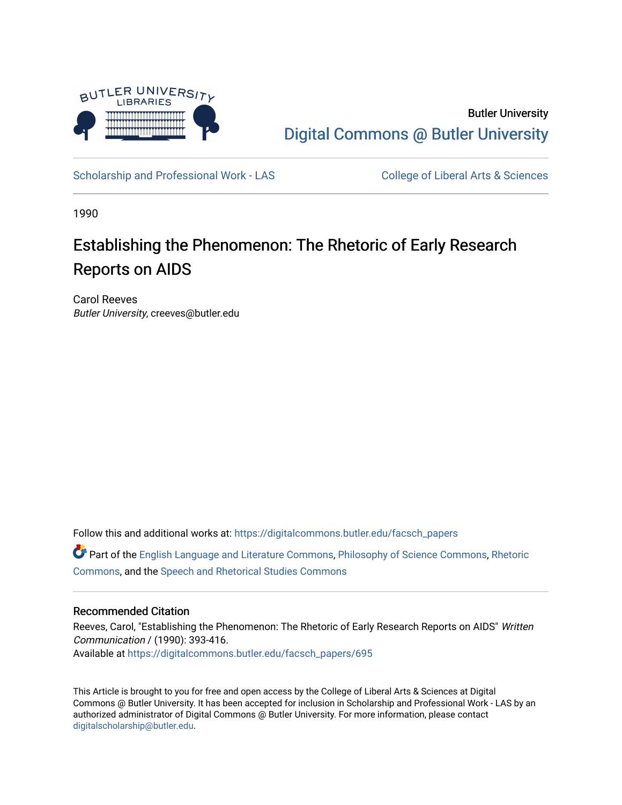

Butler University [Digital Commons @ Butler University](https://digitalcommons.butler.edu/) 

[Scholarship and Professional Work - LAS](https://digitalcommons.butler.edu/facsch_papers) College of Liberal Arts & Sciences

1990

# Establishing the Phenomenon: The Rhetoric of Early Research Reports on AIDS

Carol Reeves Butler University, creeves@butler.edu

Follow this and additional works at: [https://digitalcommons.butler.edu/facsch\\_papers](https://digitalcommons.butler.edu/facsch_papers?utm_source=digitalcommons.butler.edu%2Ffacsch_papers%2F695&utm_medium=PDF&utm_campaign=PDFCoverPages)

Part of the [English Language and Literature Commons](http://network.bepress.com/hgg/discipline/455?utm_source=digitalcommons.butler.edu%2Ffacsch_papers%2F695&utm_medium=PDF&utm_campaign=PDFCoverPages), [Philosophy of Science Commons,](http://network.bepress.com/hgg/discipline/536?utm_source=digitalcommons.butler.edu%2Ffacsch_papers%2F695&utm_medium=PDF&utm_campaign=PDFCoverPages) [Rhetoric](http://network.bepress.com/hgg/discipline/575?utm_source=digitalcommons.butler.edu%2Ffacsch_papers%2F695&utm_medium=PDF&utm_campaign=PDFCoverPages)  [Commons](http://network.bepress.com/hgg/discipline/575?utm_source=digitalcommons.butler.edu%2Ffacsch_papers%2F695&utm_medium=PDF&utm_campaign=PDFCoverPages), and the [Speech and Rhetorical Studies Commons](http://network.bepress.com/hgg/discipline/338?utm_source=digitalcommons.butler.edu%2Ffacsch_papers%2F695&utm_medium=PDF&utm_campaign=PDFCoverPages) 

## Recommended Citation

Reeves, Carol, "Establishing the Phenomenon: The Rhetoric of Early Research Reports on AIDS" Written Communication / (1990): 393-416. Available at [https://digitalcommons.butler.edu/facsch\\_papers/695](https://digitalcommons.butler.edu/facsch_papers/695?utm_source=digitalcommons.butler.edu%2Ffacsch_papers%2F695&utm_medium=PDF&utm_campaign=PDFCoverPages) 

This Article is brought to you for free and open access by the College of Liberal Arts & Sciences at Digital Commons @ Butler University. It has been accepted for inclusion in Scholarship and Professional Work - LAS by an authorized administrator of Digital Commons @ Butler University. For more information, please contact [digitalscholarship@butler.edu.](mailto:digitalscholarship@butler.edu)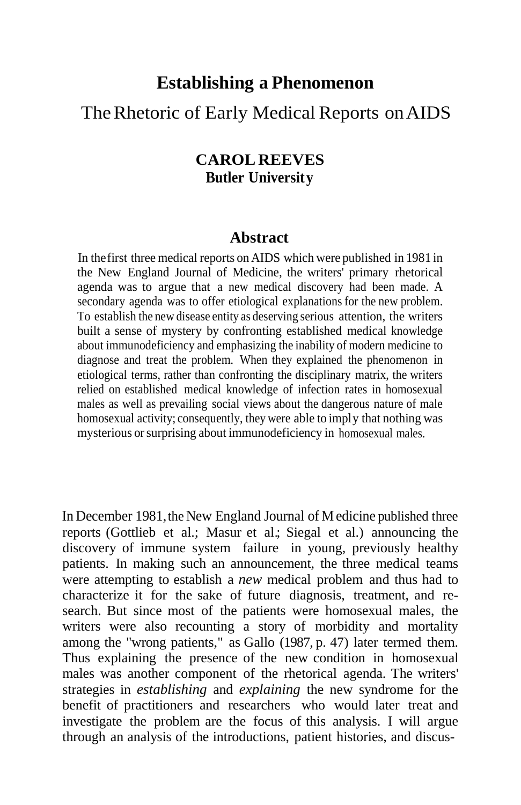# **Establishing a Phenomenon**

# The Rhetoric of Early Medical Reports on AIDS

## **CAROL REEVES Butler University**

## **Abstract**

In thefirst three medical reports on AIDS which were published in 1981 in the New England Journal of Medicine, the writers' primary rhetorical agenda was to argue that a new medical discovery had been made. A secondary agenda was to offer etiological explanations for the new problem. To establish the new disease entity as deserving serious attention, the writers built a sense of mystery by confronting established medical knowledge about immunodeficiency and emphasizing the inability of modern medicine to diagnose and treat the problem. When they explained the phenomenon in etiological terms, rather than confronting the disciplinary matrix, the writers relied on established medical knowledge of infection rates in homosexual males as well as prevailing social views about the dangerous nature of male homosexual activity; consequently, they were able to imply that nothing was mysterious or surprising about immunodeficiency in homosexual males.

In December 1981, the New England Journal of Medicine published three reports (Gottlieb et al.; Masur et al.; Siegal et al.) announcing the discovery of immune system failure in young, previously healthy patients. In making such an announcement, the three medical teams were attempting to establish a *new* medical problem and thus had to characterize it for the sake of future diagnosis, treatment, and research. But since most of the patients were homosexual males, the writers were also recounting a story of morbidity and mortality among the "wrong patients," as Gallo (1987, p. 47) later termed them. Thus explaining the presence of the new condition in homosexual males was another component of the rhetorical agenda. The writers' strategies in *establishing* and *explaining* the new syndrome for the benefit of practitioners and researchers who would later treat and investigate the problem are the focus of this analysis. I will argue through an analysis of the introductions, patient histories, and discus-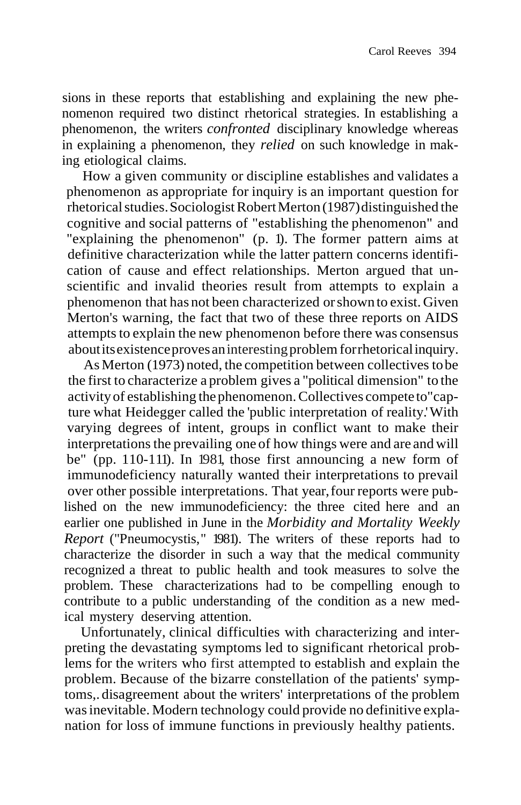sions in these reports that establishing and explaining the new phenomenon required two distinct rhetorical strategies. In establishing a phenomenon, the writers *confronted* disciplinary knowledge whereas in explaining a phenomenon, they *relied* on such knowledge in making etiological claims.

How a given community or discipline establishes and validates a phenomenon as appropriate for inquiry is an important question for rhetoricalstudies.SociologistRobertMerton (1987)distinguished the cognitive and social patterns of "establishing the phenomenon" and "explaining the phenomenon" (p. 1). The former pattern aims at definitive characterization while the latter pattern concerns identification of cause and effect relationships. Merton argued that unscientific and invalid theories result from attempts to explain a phenomenon that has not been characterized orshown to exist. Given Merton's warning, the fact that two of these three reports on AIDS attempts to explain the new phenomenon before there was consensus aboutitsexistenceprovesaninterestingproblemforrhetoricalinquiry.

As Merton (1973) noted, the competition between collectives tobe the first to characterize a problem gives a "political dimension" to the activityof establishing thephenomenon.Collectives compete to"capture what Heidegger called the 'public interpretation of reality.'With varying degrees of intent, groups in conflict want to make their interpretations the prevailing one of how things were and are and will be" (pp. 110-111). In 1981, those first announcing a new form of immunodeficiency naturally wanted their interpretations to prevail over other possible interpretations. That year,four reports were published on the new immunodeficiency: the three cited here and an earlier one published in June in the *Morbidity and Mortality Weekly Report* ("Pneumocystis," 1981). The writers of these reports had to characterize the disorder in such a way that the medical community recognized a threat to public health and took measures to solve the problem. These characterizations had to be compelling enough to contribute to a public understanding of the condition as a new medical mystery deserving attention.

Unfortunately, clinical difficulties with characterizing and interpreting the devastating symptoms led to significant rhetorical problems for the writers who first attempted to establish and explain the problem. Because of the bizarre constellation of the patients' symptoms,. disagreement about the writers' interpretations of the problem was inevitable. Modern technology could provide no definitive explanation for loss of immune functions in previously healthy patients.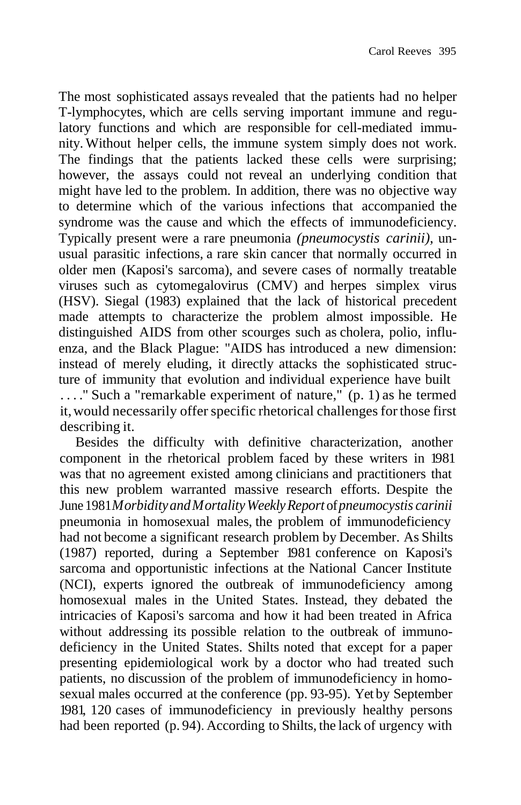The most sophisticated assays revealed that the patients had no helper T-lymphocytes, which are cells serving important immune and regulatory functions and which are responsible for cell-mediated immunity. Without helper cells, the immune system simply does not work. The findings that the patients lacked these cells were surprising; however, the assays could not reveal an underlying condition that might have led to the problem. In addition, there was no objective way to determine which of the various infections that accompanied the syndrome was the cause and which the effects of immunodeficiency. Typically present were a rare pneumonia *(pneumocystis carinii),* unusual parasitic infections, a rare skin cancer that normally occurred in older men (Kaposi's sarcoma), and severe cases of normally treatable viruses such as cytomegalovirus (CMV) and herpes simplex virus (HSV). Siegal (1983) explained that the lack of historical precedent made attempts to characterize the problem almost impossible. He distinguished AIDS from other scourges such as cholera, polio, influenza, and the Black Plague: "AIDS has introduced a new dimension: instead of merely eluding, it directly attacks the sophisticated structure of immunity that evolution and individual experience have built . . . ." Such a "remarkable experiment of nature," (p. 1) as he termed it, would necessarily offer specific rhetorical challenges for those first describing it.

Besides the difficulty with definitive characterization, another component in the rhetorical problem faced by these writers in 1981 was that no agreement existed among clinicians and practitioners that this new problem warranted massive research efforts. Despite the June 1981*MorbidityandMortalityWeeklyReport* of*pneumocystis carinii* pneumonia in homosexual males, the problem of immunodeficiency had not become a significant research problem by December. As Shilts (1987) reported, during a September 1981 conference on Kaposi's sarcoma and opportunistic infections at the National Cancer Institute (NCI), experts ignored the outbreak of immunodeficiency among homosexual males in the United States. Instead, they debated the intricacies of Kaposi's sarcoma and how it had been treated in Africa without addressing its possible relation to the outbreak of immunodeficiency in the United States. Shilts noted that except for a paper presenting epidemiological work by a doctor who had treated such patients, no discussion of the problem of immunodeficiency in homosexual males occurred at the conference (pp. 93-95). Yet by September 1981, 120 cases of immunodeficiency in previously healthy persons had been reported (p. 94). According to Shilts, the lack of urgency with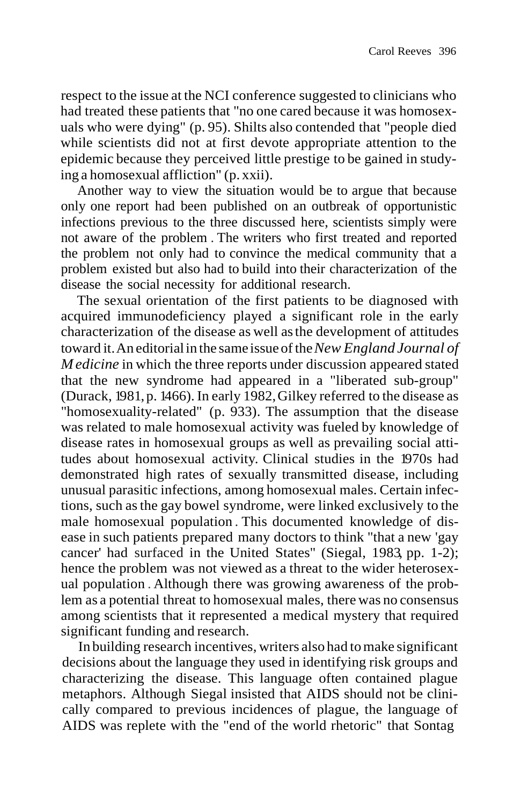respect to the issue at the NCI conference suggested to clinicians who had treated these patients that "no one cared because it was homosexuals who were dying" (p. 95). Shilts also contended that "people died while scientists did not at first devote appropriate attention to the epidemic because they perceived little prestige to be gained in studying a homosexual affliction" (p. xxii).

Another way to view the situation would be to argue that because only one report had been published on an outbreak of opportunistic infections previous to the three discussed here, scientists simply were not aware of the problem . The writers who first treated and reported the problem not only had to convince the medical community that a problem existed but also had to build into their characterization of the disease the social necessity for additional research.

The sexual orientation of the first patients to be diagnosed with acquired immunodeficiency played a significant role in the early characterization of the disease as well asthe development of attitudes toward it.An editorialin the same issueofthe*New England Journal of M edicine* in which the three reports under discussion appeared stated that the new syndrome had appeared in a "liberated sub-group" (Durack, 1981, p. 1466). In early 1982,Gilkey referred to the disease as "homosexuality-related" (p. 933). The assumption that the disease was related to male homosexual activity was fueled by knowledge of disease rates in homosexual groups as well as prevailing social attitudes about homosexual activity. Clinical studies in the 1970s had demonstrated high rates of sexually transmitted disease, including unusual parasitic infections, among homosexual males. Certain infections, such asthe gay bowel syndrome, were linked exclusively to the male homosexual population . This documented knowledge of disease in such patients prepared many doctors to think "that a new 'gay cancer' had surfaced in the United States" (Siegal, 1983, pp. 1-2); hence the problem was not viewed as a threat to the wider heterosexual population . Although there was growing awareness of the problem as a potential threat to homosexual males, there was no consensus among scientists that it represented a medical mystery that required significant funding and research.

In building research incentives, writers also had tomake significant decisions about the language they used in identifying risk groups and characterizing the disease. This language often contained plague metaphors. Although Siegal insisted that AIDS should not be clinically compared to previous incidences of plague, the language of AIDS was replete with the "end of the world rhetoric" that Sontag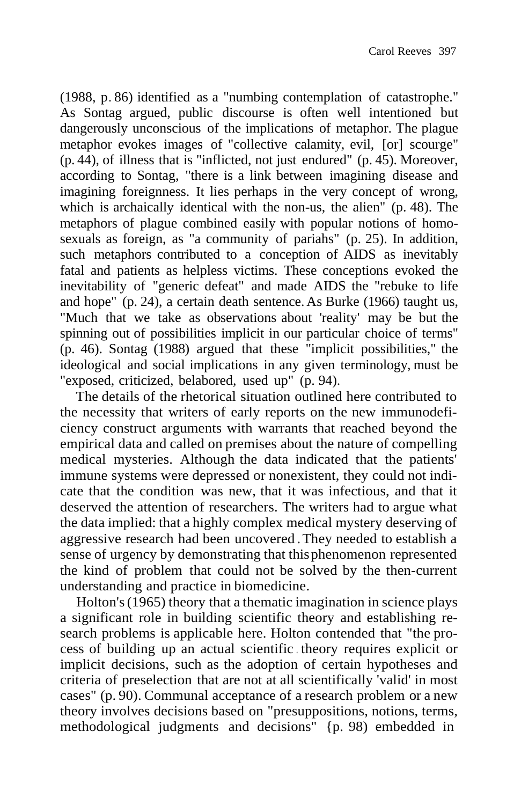(1988, p. 86) identified as a "numbing contemplation of catastrophe." As Sontag argued, public discourse is often well intentioned but dangerously unconscious of the implications of metaphor. The plague metaphor evokes images of "collective calamity, evil, [or] scourge" (p. 44), of illness that is "inflicted, not just endured" (p. 45). Moreover, according to Sontag, "there is a link between imagining disease and imagining foreignness. It lies perhaps in the very concept of wrong, which is archaically identical with the non-us, the alien" (p. 48). The metaphors of plague combined easily with popular notions of homosexuals as foreign, as "a community of pariahs" (p. 25). In addition, such metaphors contributed to a conception of AIDS as inevitably fatal and patients as helpless victims. These conceptions evoked the inevitability of "generic defeat" and made AIDS the "rebuke to life and hope" (p. 24), a certain death sentence. As Burke (1966) taught us, "Much that we take as observations about 'reality' may be but the spinning out of possibilities implicit in our particular choice of terms" (p. 46). Sontag (1988) argued that these "implicit possibilities," the ideological and social implications in any given terminology, must be "exposed, criticized, belabored, used up" (p. 94).

The details of the rhetorical situation outlined here contributed to the necessity that writers of early reports on the new immunodeficiency construct arguments with warrants that reached beyond the empirical data and called on premises about the nature of compelling medical mysteries. Although the data indicated that the patients' immune systems were depressed or nonexistent, they could not indicate that the condition was new, that it was infectious, and that it deserved the attention of researchers. The writers had to argue what the data implied: that a highly complex medical mystery deserving of aggressive research had been uncovered .They needed to establish a sense of urgency by demonstrating that thisphenomenon represented the kind of problem that could not be solved by the then-current understanding and practice in biomedicine.

Holton's(1965) theory that a thematic imagination in science plays a significant role in building scientific theory and establishing research problems is applicable here. Holton contended that "the process of building up an actual scientific . theory requires explicit or implicit decisions, such as the adoption of certain hypotheses and criteria of preselection that are not at all scientifically 'valid' in most cases" (p. 90). Communal acceptance of a research problem or a new theory involves decisions based on "presuppositions, notions, terms, methodological judgments and decisions" {p. 98) embedded in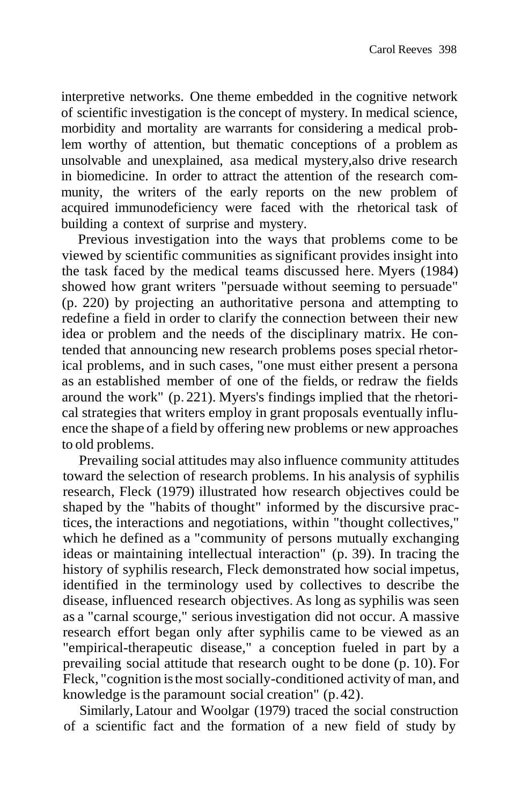interpretive networks. One theme embedded in the cognitive network of scientific investigation is the concept of mystery. In medical science, morbidity and mortality are warrants for considering a medical problem worthy of attention, but thematic conceptions of a problem as unsolvable and unexplained, asa medical mystery,also drive research in biomedicine. In order to attract the attention of the research community, the writers of the early reports on the new problem of acquired immunodeficiency were faced with the rhetorical task of building a context of surprise and mystery.

Previous investigation into the ways that problems come to be viewed by scientific communities as significant provides insight into the task faced by the medical teams discussed here. Myers (1984) showed how grant writers "persuade without seeming to persuade" (p. 220) by projecting an authoritative persona and attempting to redefine a field in order to clarify the connection between their new idea or problem and the needs of the disciplinary matrix. He contended that announcing new research problems poses special rhetorical problems, and in such cases, "one must either present a persona as an established member of one of the fields, or redraw the fields around the work" (p. 221). Myers's findings implied that the rhetorical strategies that writers employ in grant proposals eventually influence the shape of a field by offering new problems or new approaches to old problems.

Prevailing social attitudes may also influence community attitudes toward the selection of research problems. In his analysis of syphilis research, Fleck (1979) illustrated how research objectives could be shaped by the "habits of thought" informed by the discursive practices, the interactions and negotiations, within "thought collectives," which he defined as a "community of persons mutually exchanging ideas or maintaining intellectual interaction" (p. 39). In tracing the history of syphilis research, Fleck demonstrated how social impetus, identified in the terminology used by collectives to describe the disease, influenced research objectives. As long as syphilis was seen as a "carnal scourge," serious investigation did not occur. A massive research effort began only after syphilis came to be viewed as an "empirical-therapeutic disease," a conception fueled in part by a prevailing social attitude that research ought to be done (p. 10). For Fleck, "cognition isthemost socially-conditioned activity of man, and knowledge isthe paramount social creation" (p.42).

Similarly, Latour and Woolgar (1979) traced the social construction of a scientific fact and the formation of a new field of study by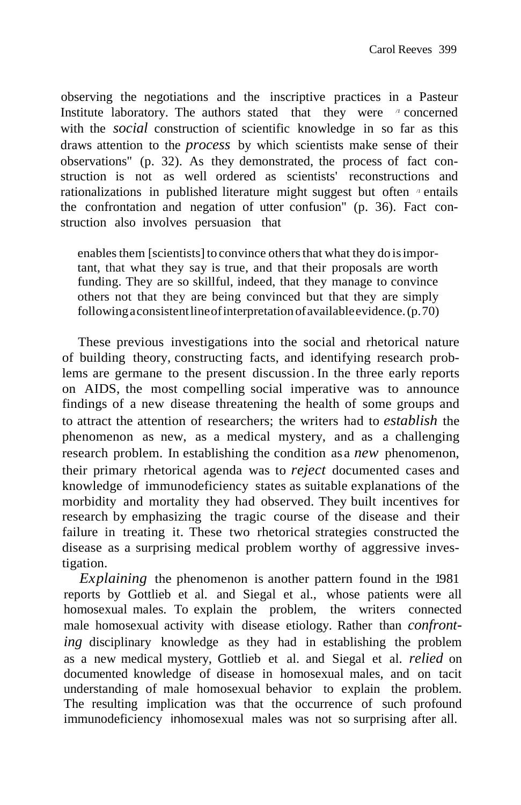observing the negotiations and the inscriptive practices in a Pasteur Institute laboratory. The authors stated that they were */1* concerned with the *social* construction of scientific knowledge in so far as this draws attention to the *process* by which scientists make sense of their observations" (p. 32). As they demonstrated, the process of fact construction is not as well ordered as scientists' reconstructions and rationalizations in published literature might suggest but often *<sup><i>n*</sup> entails the confrontation and negation of utter confusion" (p. 36). Fact construction also involves persuasion that

enables them [scientists] to convince others that what they do is important, that what they say is true, and that their proposals are worth funding. They are so skillful, indeed, that they manage to convince others not that they are being convinced but that they are simply followingaconsistentlineofinterpretation ofavailableevidence.(p.70)

These previous investigations into the social and rhetorical nature of building theory, constructing facts, and identifying research problems are germane to the present discussion. In the three early reports on AIDS, the most compelling social imperative was to announce findings of a new disease threatening the health of some groups and to attract the attention of researchers; the writers had to *establish* the phenomenon as new, as a medical mystery, and as a challenging research problem. In establishing the condition as a *new* phenomenon, their primary rhetorical agenda was to *reject* documented cases and knowledge of immunodeficiency states as suitable explanations of the morbidity and mortality they had observed. They built incentives for research by emphasizing the tragic course of the disease and their failure in treating it. These two rhetorical strategies constructed the disease as a surprising medical problem worthy of aggressive investigation.

*Explaining* the phenomenon is another pattern found in the 1981 reports by Gottlieb et al. and Siegal et al., whose patients were all homosexual males. To explain the problem, the writers connected male homosexual activity with disease etiology. Rather than *confronting* disciplinary knowledge as they had in establishing the problem as a new medical mystery, Gottlieb et al. and Siegal et al. *relied* on documented knowledge of disease in homosexual males, and on tacit understanding of male homosexual behavior to explain the problem. The resulting implication was that the occurrence of such profound immunodeficiency inhomosexual males was not so surprising after all.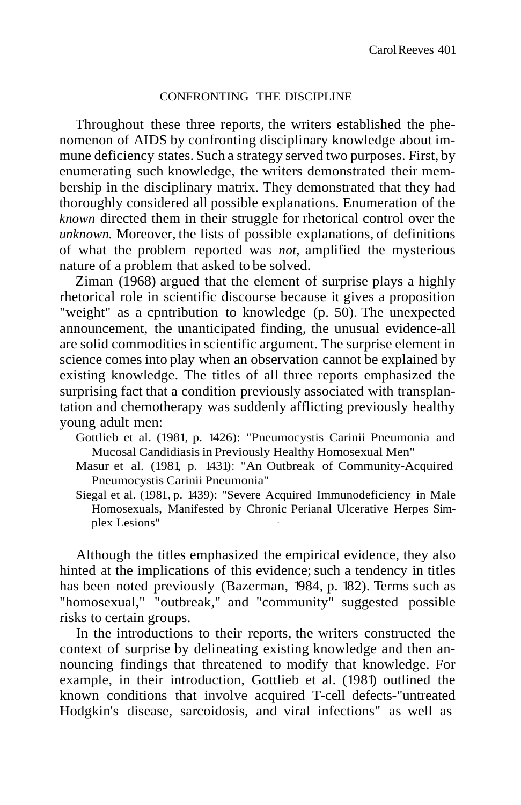#### CONFRONTING THE DISCIPLINE

Throughout these three reports, the writers established the phenomenon of AIDS by confronting disciplinary knowledge about immune deficiency states. Such a strategy served two purposes. First, by enumerating such knowledge, the writers demonstrated their membership in the disciplinary matrix. They demonstrated that they had thoroughly considered all possible explanations. Enumeration of the *known* directed them in their struggle for rhetorical control over the *unknown.* Moreover, the lists of possible explanations, of definitions of what the problem reported was *not,* amplified the mysterious nature of a problem that asked to be solved.

Ziman (1968) argued that the element of surprise plays a highly rhetorical role in scientific discourse because it gives a proposition "weight" as a cpntribution to knowledge (p. 50). The unexpected announcement, the unanticipated finding, the unusual evidence-all are solid commodities in scientific argument. The surprise element in science comes into play when an observation cannot be explained by existing knowledge. The titles of all three reports emphasized the surprising fact that a condition previously associated with transplantation and chemotherapy was suddenly afflicting previously healthy young adult men:

Gottlieb et al. (1981, p. 1426): "Pneumocystis Carinii Pneumonia and Mucosal Candidiasisin Previously Healthy Homosexual Men"

- Masur et al. (1981, p. 1431): "An Outbreak of Community-Acquired Pneumocystis Carinii Pneumonia"
- Siegal et al. (1981, p. 1439): "Severe Acquired Immunodeficiency in Male Homosexuals, Manifested by Chronic Perianal Ulcerative Herpes Simplex Lesions"

Although the titles emphasized the empirical evidence, they also hinted at the implications of this evidence; such a tendency in titles has been noted previously (Bazerman, 1984, p. 182). Terms such as "homosexual," "outbreak," and "community" suggested possible risks to certain groups.

In the introductions to their reports, the writers constructed the context of surprise by delineating existing knowledge and then announcing findings that threatened to modify that knowledge. For example, in their introduction, Gottlieb et al. (1981) outlined the known conditions that involve acquired T-cell defects-"untreated Hodgkin's disease, sarcoidosis, and viral infections" as well as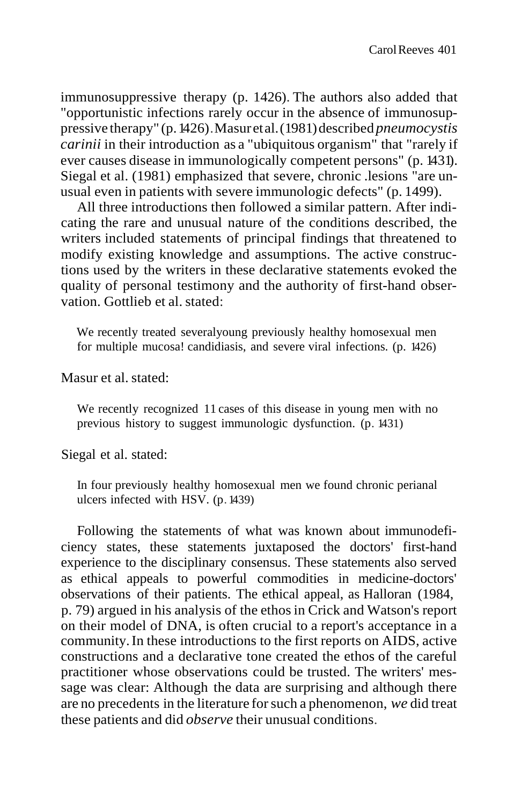immunosuppressive therapy (p. 1426). The authors also added that "opportunistic infections rarely occur in the absence of immunosuppressive therapy" (p.1426).Masuretal.(1981)described *pneumocystis carinii* in their introduction as a "ubiquitous organism" that "rarely if ever causes disease in immunologically competent persons" (p. 1431). Siegal et al. (1981) emphasized that severe, chronic .lesions "are unusual even in patients with severe immunologic defects" (p. 1499).

All three introductions then followed a similar pattern. After indicating the rare and unusual nature of the conditions described, the writers included statements of principal findings that threatened to modify existing knowledge and assumptions. The active constructions used by the writers in these declarative statements evoked the quality of personal testimony and the authority of first-hand observation. Gottlieb et al.stated:

We recently treated severalyoung previously healthy homosexual men for multiple mucosa! candidiasis, and severe viral infections. (p. 1426)

Masur et al.stated:

We recently recognized 11 cases of this disease in young men with no previous history to suggest immunologic dysfunction. (p. 1431)

Siegal et al. stated:

In four previously healthy homosexual men we found chronic perianal ulcers infected with HSV. (p. 1439)

Following the statements of what was known about immunodeficiency states, these statements juxtaposed the doctors' first-hand experience to the disciplinary consensus. These statements also served as ethical appeals to powerful commodities in medicine-doctors' observations of their patients. The ethical appeal, as Halloran (1984, p. 79) argued in his analysis of the ethosin Crick and Watson's report on their model of DNA, is often crucial to a report's acceptance in a community.In these introductions to the first reports on AIDS, active constructions and a declarative tone created the ethos of the careful practitioner whose observations could be trusted. The writers' message was clear: Although the data are surprising and although there are no precedents in the literature forsuch a phenomenon, *we* did treat these patients and did *observe* their unusual conditions.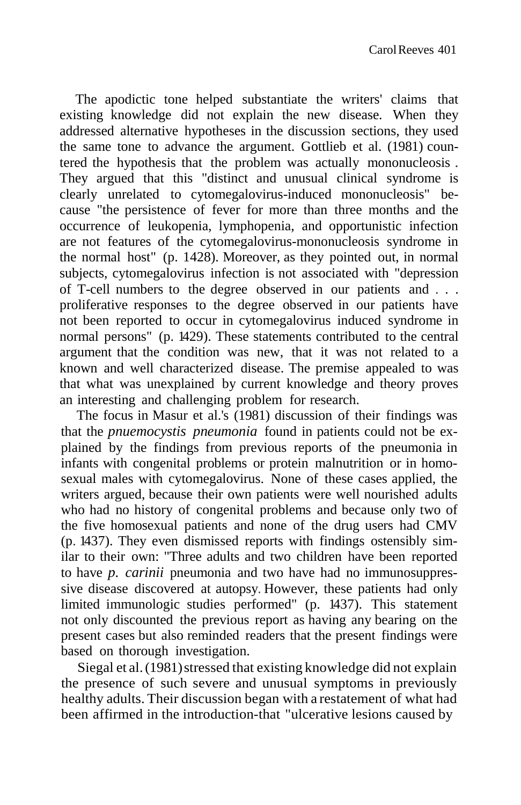The apodictic tone helped substantiate the writers' claims that existing knowledge did not explain the new disease. When they addressed alternative hypotheses in the discussion sections, they used the same tone to advance the argument. Gottlieb et al. (1981) countered the hypothesis that the problem was actually mononucleosis . They argued that this "distinct and unusual clinical syndrome is clearly unrelated to cytomegalovirus-induced mononucleosis" because "the persistence of fever for more than three months and the occurrence of leukopenia, lymphopenia, and opportunistic infection are not features of the cytomegalovirus-mononucleosis syndrome in the normal host" (p. 1428). Moreover, as they pointed out, in normal subjects, cytomegalovirus infection is not associated with "depression of T-cell numbers to the degree observed in our patients and . . . proliferative responses to the degree observed in our patients have not been reported to occur in cytomegalovirus induced syndrome in normal persons" (p. 1429). These statements contributed to the central argument that the condition was new, that it was not related to a known and well characterized disease. The premise appealed to was that what was unexplained by current knowledge and theory proves an interesting and challenging problem for research.

The focus in Masur et al.'s (1981) discussion of their findings was that the *pnuemocystis pneumonia* found in patients could not be explained by the findings from previous reports of the pneumonia in infants with congenital problems or protein malnutrition or in homosexual males with cytomegalovirus. None of these cases applied, the writers argued, because their own patients were well nourished adults who had no history of congenital problems and because only two of the five homosexual patients and none of the drug users had CMV (p. 1437). They even dismissed reports with findings ostensibly similar to their own: "Three adults and two children have been reported to have *p. carinii* pneumonia and two have had no immunosuppressive disease discovered at autopsy. However, these patients had only limited immunologic studies performed" (p. 1437). This statement not only discounted the previous report as having any bearing on the present cases but also reminded readers that the present findings were based on thorough investigation.

Siegal et al. (1981) stressed that existing knowledge did not explain the presence of such severe and unusual symptoms in previously healthy adults. Their discussion began with a restatement of what had been affirmed in the introduction-that "ulcerative lesions caused by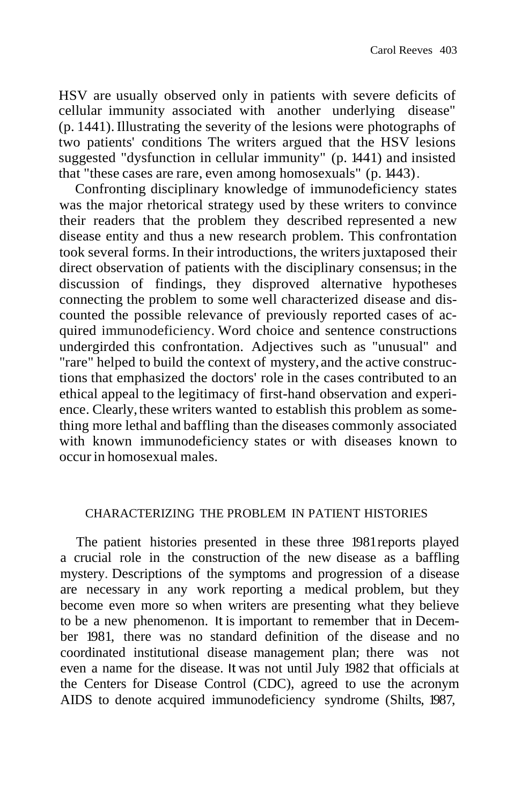HSV are usually observed only in patients with severe deficits of cellular immunity associated with another underlying disease" (p. 1441). Illustrating the severity of the lesions were photographs of two patients' conditions The writers argued that the HSV lesions suggested "dysfunction in cellular immunity" (p. 1441) and insisted that "these cases are rare, even among homosexuals" (p. 1443).

Confronting disciplinary knowledge of immunodeficiency states was the major rhetorical strategy used by these writers to convince their readers that the problem they described represented a new disease entity and thus a new research problem. This confrontation took several forms. In their introductions, the writers juxtaposed their direct observation of patients with the disciplinary consensus; in the discussion of findings, they disproved alternative hypotheses connecting the problem to some well characterized disease and discounted the possible relevance of previously reported cases of acquired immunodeficiency. Word choice and sentence constructions undergirded this confrontation. Adjectives such as "unusual" and "rare" helped to build the context of mystery, and the active constructions that emphasized the doctors' role in the cases contributed to an ethical appeal to the legitimacy of first-hand observation and experience. Clearly, these writers wanted to establish this problem as something more lethal and baffling than the diseases commonly associated with known immunodeficiency states or with diseases known to occurin homosexual males.

### CHARACTERIZING THE PROBLEM IN PATIENT HISTORIES

The patient histories presented in these three 1981reports played a crucial role in the construction of the new disease as a baffling mystery. Descriptions of the symptoms and progression of a disease are necessary in any work reporting a medical problem, but they become even more so when writers are presenting what they believe to be a new phenomenon. It is important to remember that in December 1981, there was no standard definition of the disease and no coordinated institutional disease management plan; there was not even a name for the disease. It was not until July 1982 that officials at the Centers for Disease Control (CDC), agreed to use the acronym AIDS to denote acquired immunodeficiency syndrome (Shilts, 1987,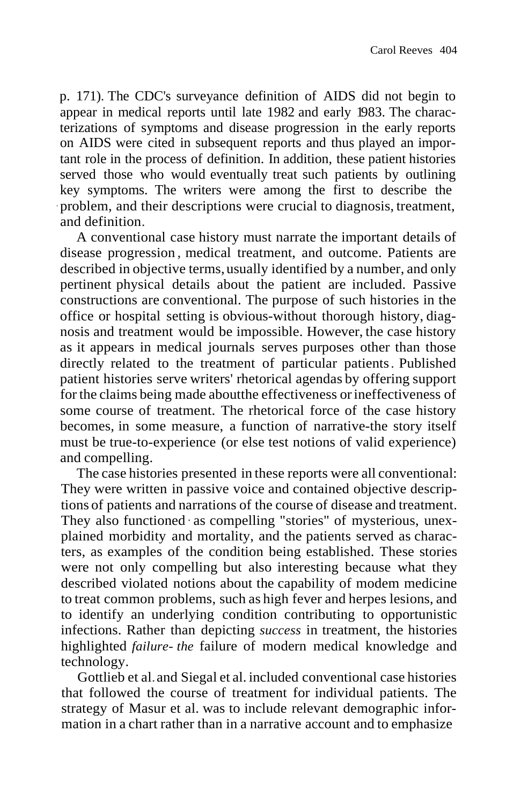p. 171). The CDC's surveyance definition of AIDS did not begin to appear in medical reports until late 1982 and early 1983. The characterizations of symptoms and disease progression in the early reports on AIDS were cited in subsequent reports and thus played an important role in the process of definition. In addition, these patient histories served those who would eventually treat such patients by outlining key symptoms. The writers were among the first to describe the · problem, and their descriptions were crucial to diagnosis, treatment, and definition.

A conventional case history must narrate the important details of disease progression , medical treatment, and outcome. Patients are described in objective terms, usually identified by a number, and only pertinent physical details about the patient are included. Passive constructions are conventional. The purpose of such histories in the office or hospital setting is obvious-without thorough history, diagnosis and treatment would be impossible. However, the case history as it appears in medical journals serves purposes other than those directly related to the treatment of particular patients. Published patient histories serve writers' rhetorical agendas by offering support for the claims being made aboutthe effectiveness orineffectiveness of some course of treatment. The rhetorical force of the case history becomes, in some measure, a function of narrative-the story itself must be true-to-experience (or else test notions of valid experience) and compelling.

The case histories presented in these reports were all conventional: They were written in passive voice and contained objective descriptions of patients and narrations of the course of disease and treatment. They also functioned as compelling "stories" of mysterious, unexplained morbidity and mortality, and the patients served as characters, as examples of the condition being established. These stories were not only compelling but also interesting because what they described violated notions about the capability of modem medicine to treat common problems, such as high fever and herpes lesions, and to identify an underlying condition contributing to opportunistic infections. Rather than depicting *success* in treatment, the histories highlighted *failure- the* failure of modern medical knowledge and technology.

Gottlieb et al.and Siegal et al. included conventional case histories that followed the course of treatment for individual patients. The strategy of Masur et al. was to include relevant demographic information in a chart rather than in a narrative account and to emphasize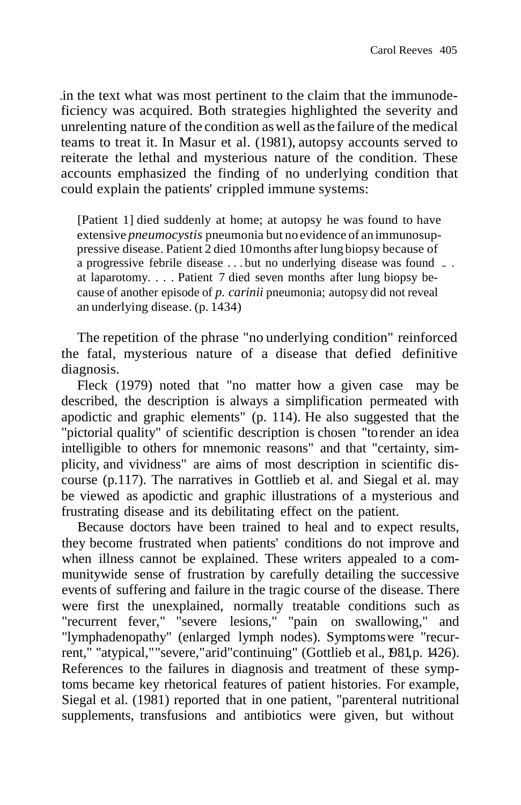.in the text what was most pertinent to the claim that the immunodeficiency was acquired. Both strategies highlighted the severity and unrelenting nature of the condition aswell asthe failure of the medical teams to treat it. In Masur et al. (1981), autopsy accounts served to reiterate the lethal and mysterious nature of the condition. These accounts emphasized the finding of no underlying condition that could explain the patients' crippled immune systems:

[Patient 1] died suddenly at home; at autopsy he was found to have extensive *pneumocystis* pneumonia but no evidence of an immunosuppressive disease. Patient 2 died 10months after lung biopsy because of a progressive febrile disease . . . but no underlying disease was found .. . at laparotomy. . . . Patient 7 died seven months after lung biopsy because of another episode of *p. carinii* pneumonia; autopsy did not reveal an underlying disease. (p. 1434)

The repetition of the phrase "no underlying condition" reinforced the fatal, mysterious nature of a disease that defied definitive diagnosis.

Fleck (1979) noted that "no matter how a given case may be described, the description is always a simplification permeated with apodictic and graphic elements" (p. 114). He also suggested that the "pictorial quality" of scientific description is chosen "torender an idea intelligible to others for mnemonic reasons" and that "certainty, simplicity, and vividness" are aims of most description in scientific discourse (p.117). The narratives in Gottlieb et al. and Siegal et al. may be viewed as apodictic and graphic illustrations of a mysterious and frustrating disease and its debilitating effect on the patient.

Because doctors have been trained to heal and to expect results, they become frustrated when patients' conditions do not improve and when illness cannot be explained. These writers appealed to a communitywide sense of frustration by carefully detailing the successive events of suffering and failure in the tragic course of the disease. There were first the unexplained, normally treatable conditions such as "recurrent fever," "severe lesions," "pain on swallowing," and "lymphadenopathy" (enlarged lymph nodes). Symptomswere "recurrent," "atypical,""severe,"arid"continuing" (Gottlieb et al., 1981,p. 1426). References to the failures in diagnosis and treatment of these symptoms became key rhetorical features of patient histories. For example, Siegal et al. (1981) reported that in one patient, "parenteral nutritional supplements, transfusions and antibiotics were given, but without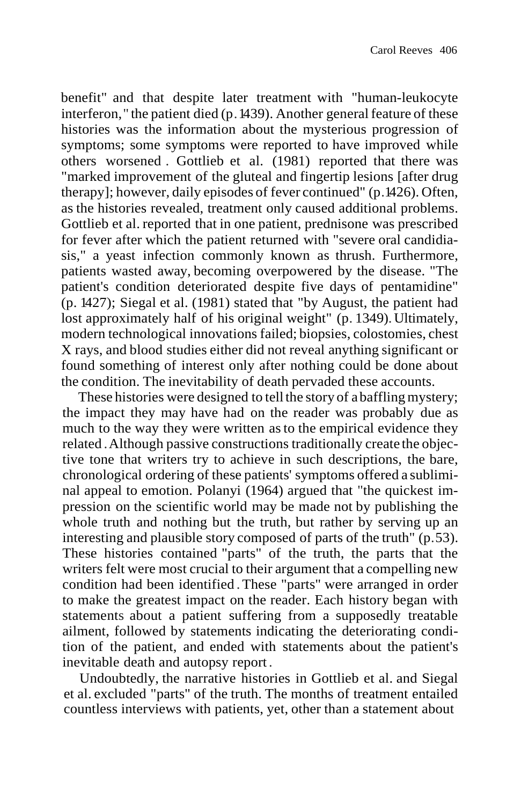benefit" and that despite later treatment with "human-leukocyte interferon," the patient died  $(p.1439)$ . Another general feature of these histories was the information about the mysterious progression of symptoms; some symptoms were reported to have improved while others worsened . Gottlieb et al. (1981) reported that there was "marked improvement of the gluteal and fingertip lesions [after drug therapy]; however, daily episodes of fever continued" (p.1426). Often, as the histories revealed, treatment only caused additional problems. Gottlieb et al. reported that in one patient, prednisone was prescribed for fever after which the patient returned with "severe oral candidiasis," a yeast infection commonly known as thrush. Furthermore, patients wasted away, becoming overpowered by the disease. "The patient's condition deteriorated despite five days of pentamidine" (p. 1427); Siegal et al. (1981) stated that "by August, the patient had lost approximately half of his original weight" (p. 1349). Ultimately, modern technological innovations failed; biopsies, colostomies, chest X rays, and blood studies either did not reveal anything significant or found something of interest only after nothing could be done about the condition. The inevitability of death pervaded these accounts.

These histories were designed to tell the story of a baffling mystery; the impact they may have had on the reader was probably due as much to the way they were written asto the empirical evidence they related .Although passive constructions traditionally create the objective tone that writers try to achieve in such descriptions, the bare, chronological ordering of these patients' symptoms offered a subliminal appeal to emotion. Polanyi (1964) argued that "the quickest impression on the scientific world may be made not by publishing the whole truth and nothing but the truth, but rather by serving up an interesting and plausible story composed of parts of the truth" (p.53). These histories contained "parts" of the truth, the parts that the writers felt were most crucial to their argument that a compelling new condition had been identified .These "parts" were arranged in order to make the greatest impact on the reader. Each history began with statements about a patient suffering from a supposedly treatable ailment, followed by statements indicating the deteriorating condition of the patient, and ended with statements about the patient's inevitable death and autopsy report .

Undoubtedly, the narrative histories in Gottlieb et al. and Siegal et al. excluded "parts" of the truth. The months of treatment entailed countless interviews with patients, yet, other than a statement about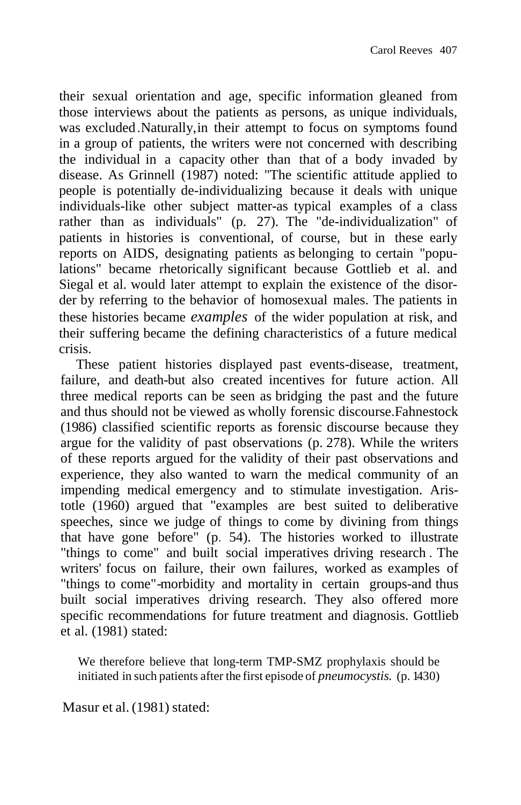their sexual orientation and age, specific information gleaned from those interviews about the patients as persons, as unique individuals, was excluded.Naturally,in their attempt to focus on symptoms found in a group of patients, the writers were not concerned with describing the individual in a capacity other than that of a body invaded by disease. As Grinnell (1987) noted: "The scientific attitude applied to people is potentially de-individualizing because it deals with unique individuals-like other subject matter-as typical examples of a class rather than as individuals" (p. 27). The "de-individualization" of patients in histories is conventional, of course, but in these early reports on AIDS, designating patients as belonging to certain "populations" became rhetorically significant because Gottlieb et al. and Siegal et al. would later attempt to explain the existence of the disorder by referring to the behavior of homosexual males. The patients in these histories became *examples* of the wider population at risk, and their suffering became the defining characteristics of a future medical crisis.

These patient histories displayed past events-disease, treatment, failure, and death-but also created incentives for future action. All three medical reports can be seen as bridging the past and the future and thus should not be viewed as wholly forensic discourse.Fahnestock (1986) classified scientific reports as forensic discourse because they argue for the validity of past observations (p. 278). While the writers of these reports argued for the validity of their past observations and experience, they also wanted to warn the medical community of an impending medical emergency and to stimulate investigation. Aristotle (1960) argued that "examples are best suited to deliberative speeches, since we judge of things to come by divining from things that have gone before" (p. 54). The histories worked to illustrate "things to come" and built social imperatives driving research . The writers' focus on failure, their own failures, worked as examples of "things to come"-morbidity and mortality in certain groups-and thus built social imperatives driving research. They also offered more specific recommendations for future treatment and diagnosis. Gottlieb et al. (1981) stated:

We therefore believe that long-term TMP-SMZ prophylaxis should be initiated in such patients after the first episode of *pneumocystis.* (p. 1430)

Masur et al. (1981) stated: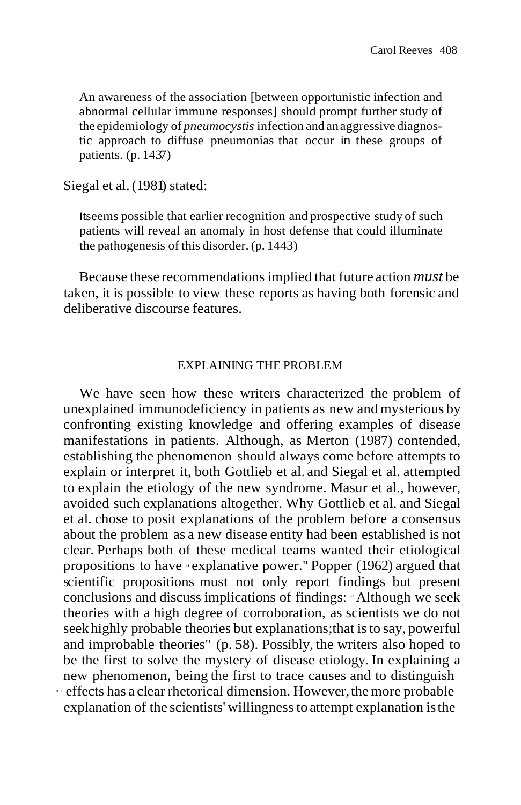An awareness of the association [between opportunistic infection and abnormal cellular immune responses] should prompt further study of the epidemiology of *pneumocystis* infection and anaggressive diagnostic approach to diffuse pneumonias that occur in these groups of patients. (p. 1437)

Siegal et al. (1981) stated:

Itseems possible that earlier recognition and prospective study of such patients will reveal an anomaly in host defense that could illuminate the pathogenesis of this disorder. (p. 1443)

Because these recommendations implied that future action *must* be taken, it is possible to view these reports as having both forensic and deliberative discourse features.

#### EXPLAINING THE PROBLEM

We have seen how these writers characterized the problem of unexplained immunodeficiency in patients as new and mysterious by confronting existing knowledge and offering examples of disease manifestations in patients. Although, as Merton (1987) contended, establishing the phenomenon should always come before attempts to explain or interpret it, both Gottlieb et al. and Siegal et al. attempted to explain the etiology of the new syndrome. Masur et al., however, avoided such explanations altogether. Why Gottlieb et al. and Siegal et al. chose to posit explanations of the problem before a consensus about the problem as a new disease entity had been established is not clear. Perhaps both of these medical teams wanted their etiological propositions to have */1* explanative power." Popper (1962) argued that scientific propositions must not only report findings but present conclusions and discuss implications of findings: */1* Although we seek theories with a high degree of corroboration, as scientists we do not seekhighly probable theories but explanations;that isto say, powerful and improbable theories" (p. 58). Possibly, the writers also hoped to be the first to solve the mystery of disease etiology. In explaining a new phenomenon, being the first to trace causes and to distinguish  $\cdot\text{ effects}$  has a clear rhetorical dimension. However, the more probable explanation of the scientists' willingnessto attempt explanation isthe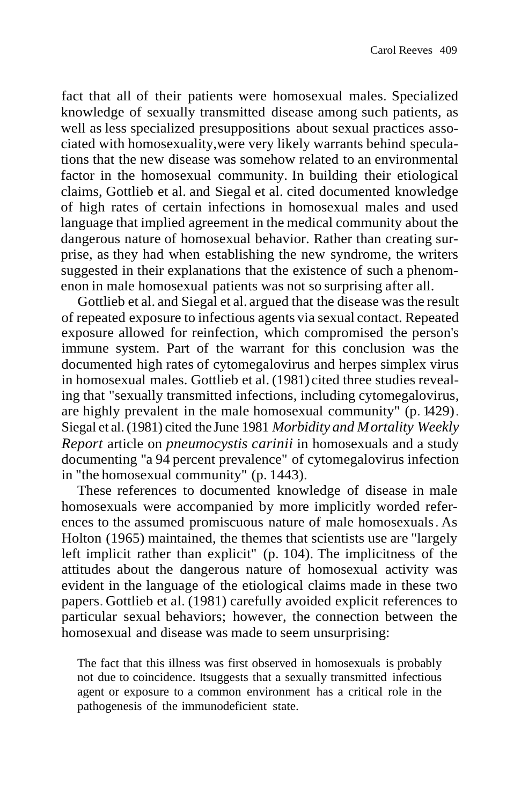fact that all of their patients were homosexual males. Specialized knowledge of sexually transmitted disease among such patients, as well as less specialized presuppositions about sexual practices associated with homosexuality,were very likely warrants behind speculations that the new disease was somehow related to an environmental factor in the homosexual community. In building their etiological claims, Gottlieb et al. and Siegal et al. cited documented knowledge of high rates of certain infections in homosexual males and used language that implied agreement in the medical community about the dangerous nature of homosexual behavior. Rather than creating surprise, as they had when establishing the new syndrome, the writers suggested in their explanations that the existence of such a phenomenon in male homosexual patients was not so surprising after all.

Gottlieb et al. and Siegal et al. argued that the disease wasthe result of repeated exposure to infectious agents via sexual contact. Repeated exposure allowed for reinfection, which compromised the person's immune system. Part of the warrant for this conclusion was the documented high rates of cytomegalovirus and herpes simplex virus in homosexual males. Gottlieb et al. (1981) cited three studies revealing that "sexually transmitted infections, including cytomegalovirus, are highly prevalent in the male homosexual community" (p. 1429). Siegal et al. (1981) cited the June 1981 *Morbidity and Mortality Weekly Report* article on *pneumocystis carinii* in homosexuals and a study documenting "a 94 percent prevalence" of cytomegalovirus infection in "the homosexual community" (p. 1443).

These references to documented knowledge of disease in male homosexuals were accompanied by more implicitly worded references to the assumed promiscuous nature of male homosexuals. As Holton (1965) maintained, the themes that scientists use are "largely left implicit rather than explicit" (p. 104). The implicitness of the attitudes about the dangerous nature of homosexual activity was evident in the language of the etiological claims made in these two papers. Gottlieb et al. (1981) carefully avoided explicit references to particular sexual behaviors; however, the connection between the homosexual and disease was made to seem unsurprising:

The fact that this illness was first observed in homosexuals is probably not due to coincidence. Itsuggests that a sexually transmitted infectious agent or exposure to a common environment has a critical role in the pathogenesis of the immunodeficient state.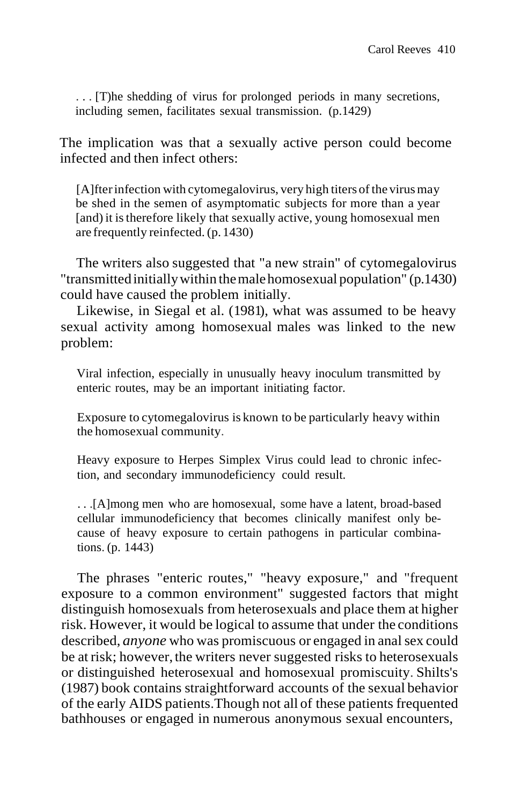. . . [T)he shedding of virus for prolonged periods in many secretions, including semen, facilitates sexual transmission. (p.1429)

The implication was that a sexually active person could become infected and then infect others:

[A]fter infection with cytomegalovirus, very high titers of the virus may be shed in the semen of asymptomatic subjects for more than a year [and) it istherefore likely that sexually active, young homosexual men are frequently reinfected. (p.1430)

The writers also suggested that "a new strain" of cytomegalovirus "transmittedinitiallywithin themalehomosexual population" (p.1430) could have caused the problem initially.

Likewise, in Siegal et al. (1981), what was assumed to be heavy sexual activity among homosexual males was linked to the new problem:

Viral infection, especially in unusually heavy inoculum transmitted by enteric routes, may be an important initiating factor.

Exposure to cytomegalovirus is known to be particularly heavy within the homosexual community.

Heavy exposure to Herpes Simplex Virus could lead to chronic infection, and secondary immunodeficiency could result.

. . .[A]mong men who are homosexual, some have a latent, broad-based cellular immunodeficiency that becomes clinically manifest only because of heavy exposure to certain pathogens in particular combinations. (p. 1443)

The phrases "enteric routes," "heavy exposure," and "frequent exposure to a common environment" suggested factors that might distinguish homosexuals from heterosexuals and place them at higher risk. However, it would be logical to assume that under the conditions described, *anyone* who was promiscuous or engaged in anal sex could be at risk; however, the writers never suggested risks to heterosexuals or distinguished heterosexual and homosexual promiscuity. Shilts's (1987) book contains straightforward accounts of the sexual behavior of the early AIDS patients.Though not all of these patients frequented bathhouses or engaged in numerous anonymous sexual encounters,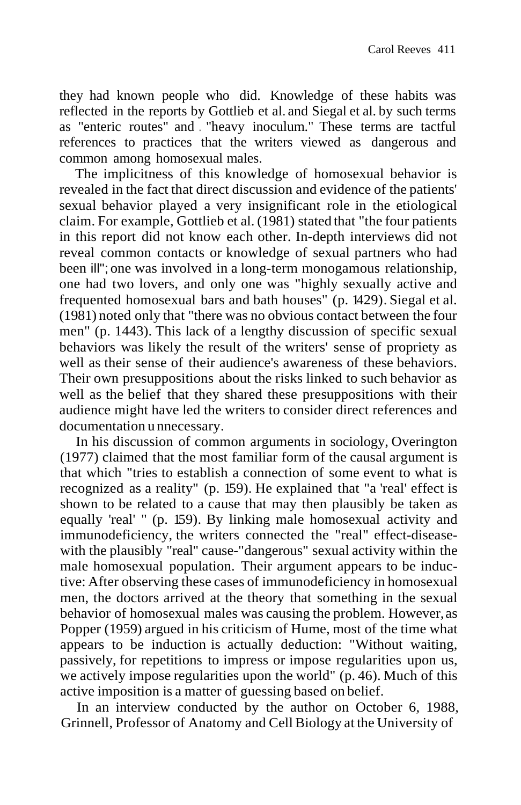they had known people who did. Knowledge of these habits was reflected in the reports by Gottlieb et al. and Siegal et al. by such terms as "enteric routes" and . "heavy inoculum." These terms are tactful references to practices that the writers viewed as dangerous and common among homosexual males.

The implicitness of this knowledge of homosexual behavior is revealed in the fact that direct discussion and evidence of the patients' sexual behavior played a very insignificant role in the etiological claim. For example, Gottlieb et al. (1981) stated that "the four patients in this report did not know each other. In-depth interviews did not reveal common contacts or knowledge of sexual partners who had been ill"; one was involved in a long-term monogamous relationship, one had two lovers, and only one was "highly sexually active and frequented homosexual bars and bath houses" (p. 1429). Siegal et al. (1981) noted only that "there was no obvious contact between the four men" (p. 1443). This lack of a lengthy discussion of specific sexual behaviors was likely the result of the writers' sense of propriety as well as their sense of their audience's awareness of these behaviors. Their own presuppositions about the risks linked to such behavior as well as the belief that they shared these presuppositions with their audience might have led the writers to consider direct references and documentation u nnecessary.

In his discussion of common arguments in sociology, Overington (1977) claimed that the most familiar form of the causal argument is that which "tries to establish a connection of some event to what is recognized as a reality" (p. 159). He explained that "a 'real' effect is shown to be related to a cause that may then plausibly be taken as equally 'real' " (p. 159). By linking male homosexual activity and immunodeficiency, the writers connected the "real" effect-diseasewith the plausibly "real" cause-"dangerous" sexual activity within the male homosexual population. Their argument appears to be inductive: After observing these cases of immunodeficiency in homosexual men, the doctors arrived at the theory that something in the sexual behavior of homosexual males was causing the problem. However,as Popper (1959) argued in his criticism of Hume, most of the time what appears to be induction is actually deduction: "Without waiting, passively, for repetitions to impress or impose regularities upon us, we actively impose regularities upon the world" (p. 46). Much of this active imposition is a matter of guessing based on belief.

In an interview conducted by the author on October 6, 1988, Grinnell, Professor of Anatomy and CellBiology at the University of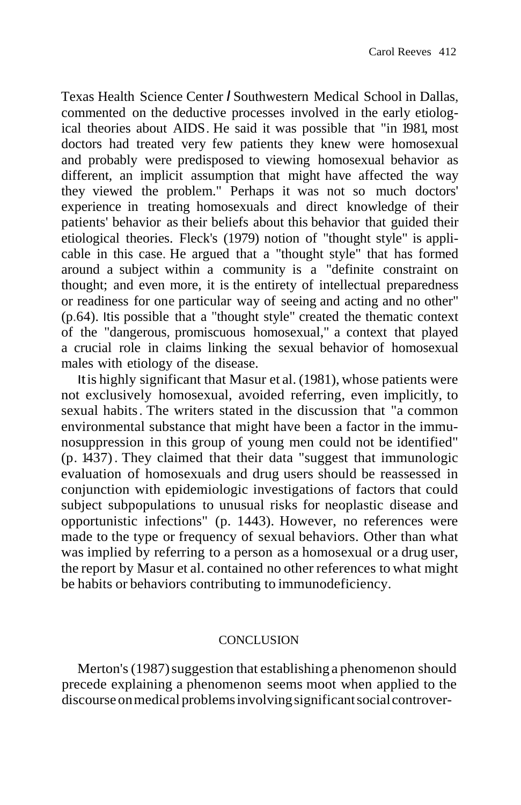Texas Health Science Center *I* Southwestern Medical School in Dallas, commented on the deductive processes involved in the early etiological theories about AIDS. He said it was possible that "in 1981, most doctors had treated very few patients they knew were homosexual and probably were predisposed to viewing homosexual behavior as different, an implicit assumption that might have affected the way they viewed the problem." Perhaps it was not so much doctors' experience in treating homosexuals and direct knowledge of their patients' behavior as their beliefs about this behavior that guided their etiological theories. Fleck's (1979) notion of "thought style" is applicable in this case. He argued that a "thought style" that has formed around a subject within a community is a "definite constraint on thought; and even more, it is the entirety of intellectual preparedness or readiness for one particular way of seeing and acting and no other" (p.64). Itis possible that a "thought style" created the thematic context of the "dangerous, promiscuous homosexual," a context that played a crucial role in claims linking the sexual behavior of homosexual males with etiology of the disease.

Itis highly significant that Masur et al. (1981), whose patients were not exclusively homosexual, avoided referring, even implicitly, to sexual habits. The writers stated in the discussion that "a common environmental substance that might have been a factor in the immunosuppression in this group of young men could not be identified" (p. 1437). They claimed that their data "suggest that immunologic evaluation of homosexuals and drug users should be reassessed in conjunction with epidemiologic investigations of factors that could subject subpopulations to unusual risks for neoplastic disease and opportunistic infections" (p. 1443). However, no references were made to the type or frequency of sexual behaviors. Other than what was implied by referring to a person as a homosexual or a drug user, the report by Masur et al. contained no other references to what might be habits or behaviors contributing to immunodeficiency.

#### **CONCLUSION**

Merton's (1987) suggestion that establishing a phenomenon should precede explaining a phenomenon seems moot when applied to the discourse on medical problems involving significant social controver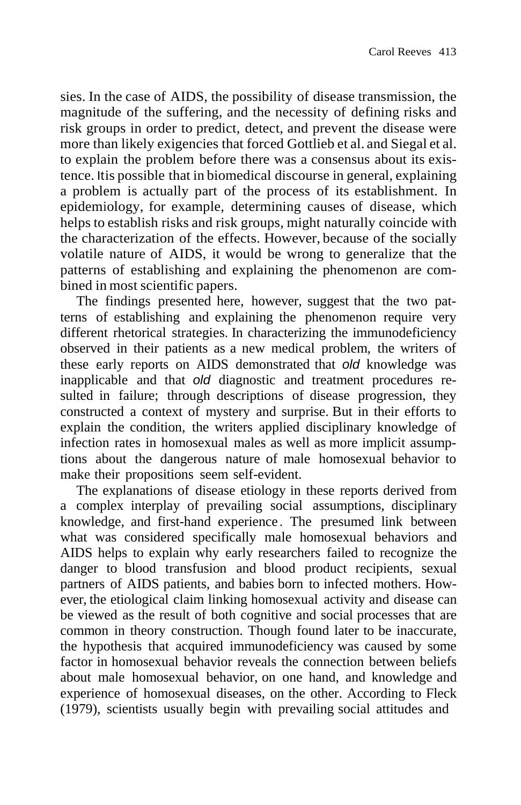sies. In the case of AIDS, the possibility of disease transmission, the magnitude of the suffering, and the necessity of defining risks and risk groups in order to predict, detect, and prevent the disease were more than likely exigencies that forced Gottlieb et al. and Siegal et al. to explain the problem before there was a consensus about its existence. Itis possible that in biomedical discourse in general, explaining a problem is actually part of the process of its establishment. In epidemiology, for example, determining causes of disease, which helps to establish risks and risk groups, might naturally coincide with the characterization of the effects. However, because of the socially volatile nature of AIDS, it would be wrong to generalize that the patterns of establishing and explaining the phenomenon are combined in most scientific papers.

The findings presented here, however, suggest that the two patterns of establishing and explaining the phenomenon require very different rhetorical strategies. In characterizing the immunodeficiency observed in their patients as a new medical problem, the writers of these early reports on AIDS demonstrated that *old* knowledge was inapplicable and that *old* diagnostic and treatment procedures resulted in failure; through descriptions of disease progression, they constructed a context of mystery and surprise. But in their efforts to explain the condition, the writers applied disciplinary knowledge of infection rates in homosexual males as well as more implicit assumptions about the dangerous nature of male homosexual behavior to make their propositions seem self-evident.

The explanations of disease etiology in these reports derived from a complex interplay of prevailing social assumptions, disciplinary knowledge, and first-hand experience . The presumed link between what was considered specifically male homosexual behaviors and AIDS helps to explain why early researchers failed to recognize the danger to blood transfusion and blood product recipients, sexual partners of AIDS patients, and babies born to infected mothers. However, the etiological claim linking homosexual activity and disease can be viewed as the result of both cognitive and social processes that are common in theory construction. Though found later to be inaccurate, the hypothesis that acquired immunodeficiency was caused by some factor in homosexual behavior reveals the connection between beliefs about male homosexual behavior, on one hand, and knowledge and experience of homosexual diseases, on the other. According to Fleck (1979), scientists usually begin with prevailing social attitudes and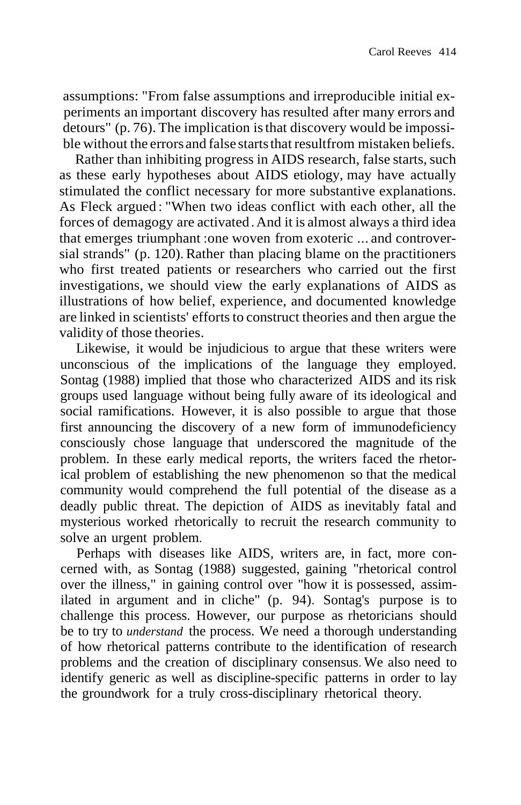assumptions: "From false assumptions and irreproducible initial experiments an important discovery has resulted after many errors and detours" (p. 76). The implication isthat discovery would be impossible without the errors and false starts that resultfrom mistaken beliefs.

Rather than inhibiting progress in AIDS research, false starts, such as these early hypotheses about AIDS etiology, may have actually stimulated the conflict necessary for more substantive explanations. As Fleck argued : "When two ideas conflict with each other, all the forces of demagogy are activated.And it is almost always a third idea that emerges triumphant :one woven from exoteric ... and controversial strands" (p. 120). Rather than placing blame on the practitioners who first treated patients or researchers who carried out the first investigations, we should view the early explanations of AIDS as illustrations of how belief, experience, and documented knowledge are linked in scientists' efforts to construct theories and then argue the validity of those theories.

Likewise, it would be injudicious to argue that these writers were unconscious of the implications of the language they employed. Sontag (1988) implied that those who characterized AIDS and its risk groups used language without being fully aware of its ideological and social ramifications. However, it is also possible to argue that those first announcing the discovery of a new form of immunodeficiency consciously chose language that underscored the magnitude of the problem. In these early medical reports, the writers faced the rhetorical problem of establishing the new phenomenon so that the medical community would comprehend the full potential of the disease as a deadly public threat. The depiction of AIDS as inevitably fatal and mysterious worked rhetorically to recruit the research community to solve an urgent problem.

Perhaps with diseases like AIDS, writers are, in fact, more concerned with, as Sontag (1988) suggested, gaining "rhetorical control over the illness," in gaining control over "how it is possessed, assimilated in argument and in cliche" (p. 94). Sontag's purpose is to challenge this process. However, our purpose as rhetoricians should be to try to *understand* the process. We need a thorough understanding of how rhetorical patterns contribute to the identification of research problems and the creation of disciplinary consensus. We also need to identify generic as well as discipline-specific patterns in order to lay the groundwork for a truly cross-disciplinary rhetorical theory.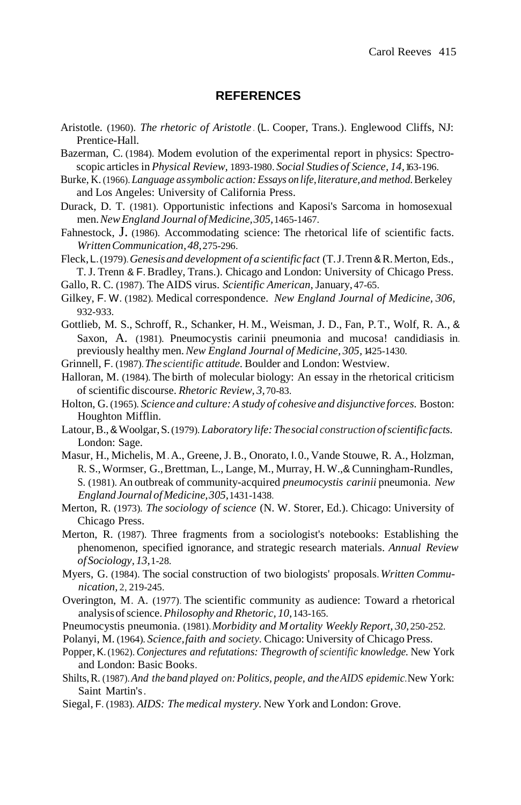#### **REFERENCES**

- Aristotle. (1960). *The rhetoric of Aristotle .* (L. Cooper, Trans.). Englewood Cliffs, NJ: Prentice-Hall.
- Bazerman, C. (1984). Modem evolution of the experimental report in physics: Spectroscopic articles in *Physical Review,* 1893-1980. *Social Studies of Science, 14,*163-196.
- Burke, K. (1966). *Language assymbolic action:Essays on life,literature,and method.*Berkeley and Los Angeles: University of California Press.
- Durack, D. T. (1981). Opportunistic infections and Kaposi's Sarcoma in homosexual men.*NewEngland Journal ofMedicine,305,*1465-1467.
- Fahnestock, J. (1986). Accommodating science: The rhetorical life of scientific facts. *WrittenCommunication,48,*275-296.
- Fleck,L.(1979).*Genesisand development of a scientific fact* (T.J.Trenn &R.Merton,Eds., T. J. Trenn & F.Bradley, Trans.). Chicago and London: University of Chicago Press.
- Gallo, R. C. (1987). The AIDS virus. *Scientific American,* January, 47-65.
- Gilkey, F. W. (1982). Medical correspondence. *New England Journal of Medicine, 306,* 932-933.
- Gottlieb, M. S., Schroff, R., Schanker, H. M., Weisman, J. D., Fan, P.T., Wolf, R. A., & Saxon, A. (1981). Pneumocystis carinii pneumonia and mucosa! candidiasis in. previously healthy men.*New England Journal of Medicine, 305,* 1425-1430.
- Grinnell, F. (1987).*The scientific attitude.* Boulder and London: Westview.
- Halloran, M. (1984). The birth of molecular biology: An essay in the rhetorical criticism of scientific discourse. *Rhetoric Review, 3,*70-83.
- Holton, G. (1965). *Science and culture:A study of cohesive and disjunctive forces.* Boston: Houghton Mifflin.
- Latour,B.,&Woolgar,S.(1979). *Laboratory life:Thesocial construction ofscientificfacts.* London: Sage.
- Masur, H., Michelis, M.A., Greene, J. B., Onorato, I.0., Vande Stouwe, R. A., Holzman, R. S.,Wormser, G.,Brettman, L., Lange, M., Murray, H.W.,& Cunningham-Rundles, S. (1981). An outbreak of community-acquired *pneumocystis carinii* pneumonia. *New EnglandJournal ofMedicine,305,*1431-1438.
- Merton, R. (1973). *The sociology of science* (N. W. Storer, Ed.). Chicago: University of Chicago Press.
- Merton, R. (1987). Three fragments from a sociologist's notebooks: Establishing the phenomenon, specified ignorance, and strategic research materials. *Annual Review ofSociology, 13,*1-28.
- Myers, G. (1984). The social construction of two biologists' proposals.*Written Communication,* 2, 219-245.
- Overington, M. A. (1977). The scientific community as audience: Toward a rhetorical analysisofscience.*Philosophy and Rhetoric, 10,*143-165.
- Pneumocystis pneumonia. (1981).*Morbidity and Mortality Weekly Report, 30,* 250-252.
- Polanyi, M. (1964). *Science,faith and society.* Chicago: University of Chicago Press.
- Popper, K.(1962). *Conjectures and refutations: Thegrowth of scientific knowledge.* New York and London: Basic Books.
- Shilts,R. (1987).*And the band played on:Politics, people, and theAIDS epidemic.*New York: Saint Martin's.
- Siegal, F. (1983). *AIDS: The medical mystery.* New York and London: Grove.